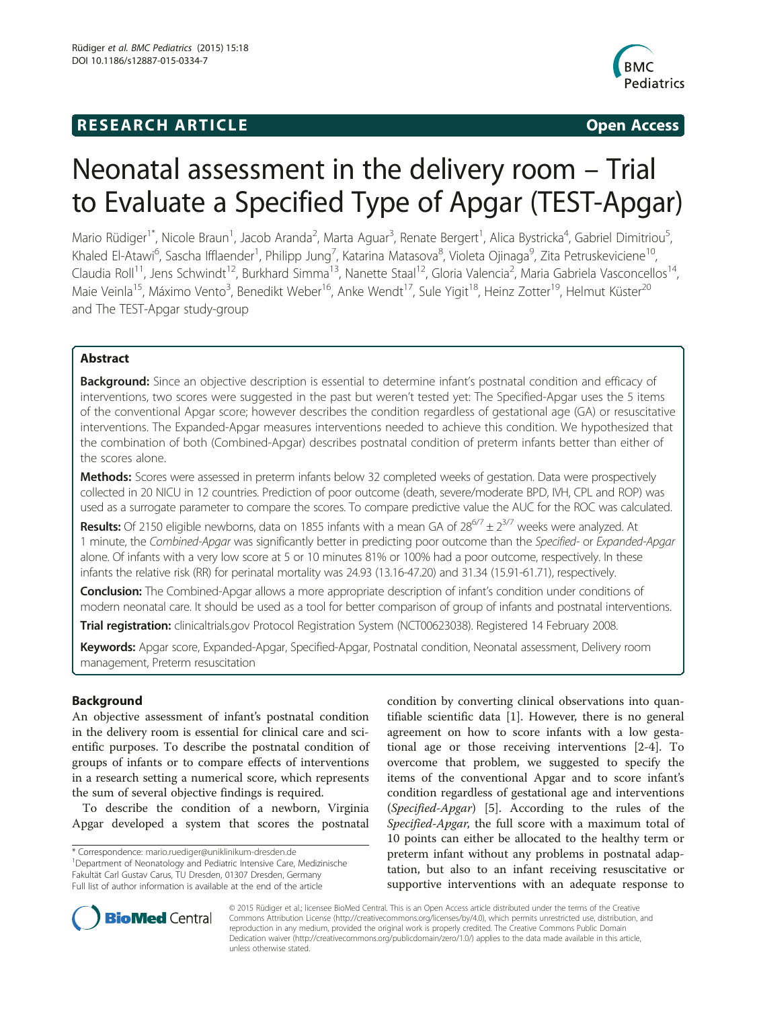# **RESEARCH ARTICLE Example 20 and 20 and 20 and 20 and 20 and 20 and 20 and 20 and 20 and 20 and 20 and 20 and 20 and 20 and 20 and 20 and 20 and 20 and 20 and 20 and 20 and 20 and 20 and 20 and 20 and 20 and 20 and 20 an**



# Neonatal assessment in the delivery room – Trial to Evaluate a Specified Type of Apgar (TEST-Apgar)

Mario Rüdiger<sup>1\*</sup>, Nicole Braun<sup>1</sup>, Jacob Aranda<sup>2</sup>, Marta Aguar<sup>3</sup>, Renate Bergert<sup>1</sup>, Alica Bystricka<sup>4</sup>, Gabriel Dimitriou<sup>5</sup> , Khaled El-Atawi<sup>6</sup>, Sascha Ifflaender<sup>1</sup>, Philipp Jung<sup>7</sup>, Katarina Matasova<sup>8</sup>, Violeta Ojinaga<sup>9</sup>, Zita Petruskeviciene<sup>10</sup>, Claudia Roll<sup>11</sup>, Jens Schwindt<sup>12</sup>, Burkhard Simma<sup>13</sup>, Nanette Staal<sup>12</sup>, Gloria Valencia<sup>2</sup>, Maria Gabriela Vasconcellos<sup>14</sup>, Maie Veinla<sup>15</sup>, Máximo Vento<sup>3</sup>, Benedikt Weber<sup>16</sup>, Anke Wendt<sup>17</sup>, Sule Yigit<sup>18</sup>, Heinz Zotter<sup>19</sup>, Helmut Küster<sup>20</sup> and The TEST-Apgar study-group

# Abstract

**Background:** Since an objective description is essential to determine infant's postnatal condition and efficacy of interventions, two scores were suggested in the past but weren't tested yet: The Specified-Apgar uses the 5 items of the conventional Apgar score; however describes the condition regardless of gestational age (GA) or resuscitative interventions. The Expanded-Apgar measures interventions needed to achieve this condition. We hypothesized that the combination of both (Combined-Apgar) describes postnatal condition of preterm infants better than either of the scores alone.

Methods: Scores were assessed in preterm infants below 32 completed weeks of gestation. Data were prospectively collected in 20 NICU in 12 countries. Prediction of poor outcome (death, severe/moderate BPD, IVH, CPL and ROP) was used as a surrogate parameter to compare the scores. To compare predictive value the AUC for the ROC was calculated.

**Results:** Of 2150 eligible newborns, data on 1855 infants with a mean GA of  $28^{6/7} \pm 2^{3/7}$  weeks were analyzed. At 1 minute, the Combined-Apgar was significantly better in predicting poor outcome than the Specified- or Expanded-Apgar alone. Of infants with a very low score at 5 or 10 minutes 81% or 100% had a poor outcome, respectively. In these infants the relative risk (RR) for perinatal mortality was 24.93 (13.16-47.20) and 31.34 (15.91-61.71), respectively.

**Conclusion:** The Combined-Apgar allows a more appropriate description of infant's condition under conditions of modern neonatal care. It should be used as a tool for better comparison of group of infants and postnatal interventions.

Trial registration: clinicaltrials.gov Protocol Registration System [\(NCT00623038](https://clinicaltrials.gov/ct2/show/NCT00623038)). Registered 14 February 2008.

Keywords: Apgar score, Expanded-Apgar, Specified-Apgar, Postnatal condition, Neonatal assessment, Delivery room management, Preterm resuscitation

# Background

An objective assessment of infant's postnatal condition in the delivery room is essential for clinical care and scientific purposes. To describe the postnatal condition of groups of infants or to compare effects of interventions in a research setting a numerical score, which represents the sum of several objective findings is required.

To describe the condition of a newborn, Virginia Apgar developed a system that scores the postnatal

\* Correspondence: [mario.ruediger@uniklinikum-dresden.de](mailto:mario.ruediger@uniklinikum-dresden.de) <sup>1</sup>

<sup>1</sup>Department of Neonatology and Pediatric Intensive Care, Medizinische Fakultät Carl Gustav Carus, TU Dresden, 01307 Dresden, Germany Full list of author information is available at the end of the article

condition by converting clinical observations into quantifiable scientific data [[1](#page-6-0)]. However, there is no general agreement on how to score infants with a low gestational age or those receiving interventions [\[2](#page-6-0)-[4\]](#page-6-0). To overcome that problem, we suggested to specify the items of the conventional Apgar and to score infant's condition regardless of gestational age and interventions (Specified-Apgar) [\[5](#page-7-0)]. According to the rules of the Specified-Apgar, the full score with a maximum total of 10 points can either be allocated to the healthy term or preterm infant without any problems in postnatal adaptation, but also to an infant receiving resuscitative or supportive interventions with an adequate response to



© 2015 Rüdiger et al.; licensee BioMed Central. This is an Open Access article distributed under the terms of the Creative Commons Attribution License [\(http://creativecommons.org/licenses/by/4.0\)](http://creativecommons.org/licenses/by/4.0), which permits unrestricted use, distribution, and reproduction in any medium, provided the original work is properly credited. The Creative Commons Public Domain Dedication waiver [\(http://creativecommons.org/publicdomain/zero/1.0/](http://creativecommons.org/publicdomain/zero/1.0/)) applies to the data made available in this article, unless otherwise stated.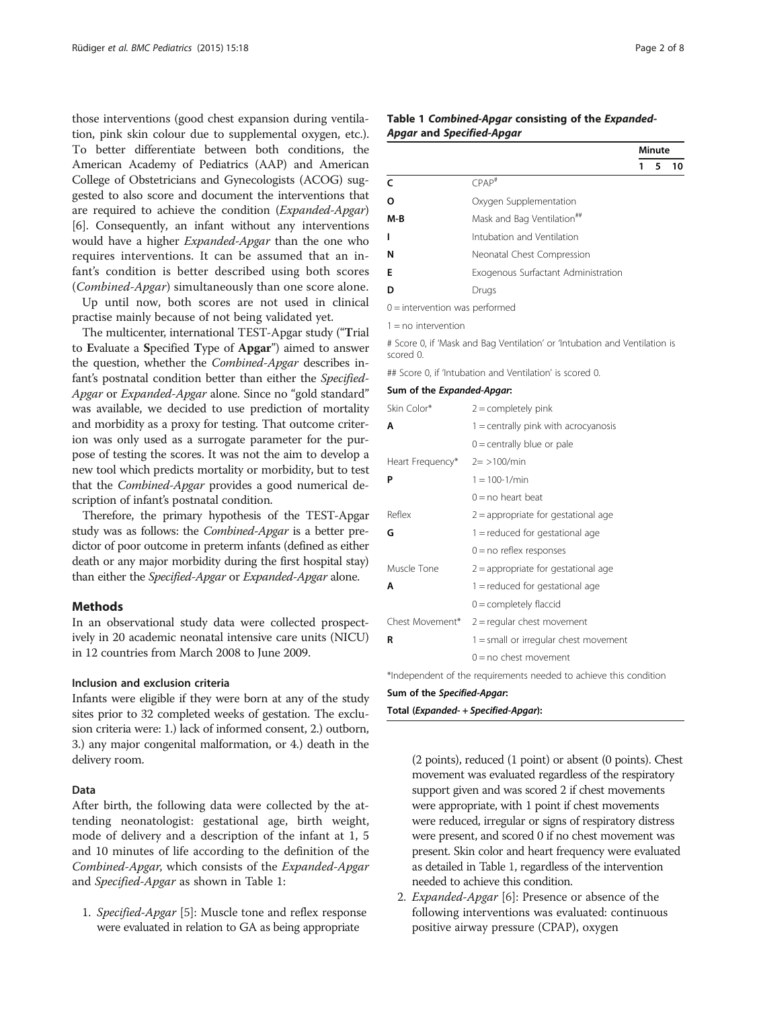<span id="page-1-0"></span>those interventions (good chest expansion during ventilation, pink skin colour due to supplemental oxygen, etc.). To better differentiate between both conditions, the American Academy of Pediatrics (AAP) and American College of Obstetricians and Gynecologists (ACOG) suggested to also score and document the interventions that are required to achieve the condition (Expanded-Apgar) [[6\]](#page-7-0). Consequently, an infant without any interventions would have a higher *Expanded-Apgar* than the one who requires interventions. It can be assumed that an infant's condition is better described using both scores (Combined-Apgar) simultaneously than one score alone.

Up until now, both scores are not used in clinical practise mainly because of not being validated yet.

The multicenter, international TEST-Apgar study ("Trial to Evaluate a Specified Type of Apgar") aimed to answer the question, whether the Combined-Apgar describes infant's postnatal condition better than either the Specified-Apgar or *Expanded-Apgar* alone. Since no "gold standard" was available, we decided to use prediction of mortality and morbidity as a proxy for testing. That outcome criterion was only used as a surrogate parameter for the purpose of testing the scores. It was not the aim to develop a new tool which predicts mortality or morbidity, but to test that the Combined-Apgar provides a good numerical description of infant's postnatal condition.

Therefore, the primary hypothesis of the TEST-Apgar study was as follows: the Combined-Apgar is a better predictor of poor outcome in preterm infants (defined as either death or any major morbidity during the first hospital stay) than either the Specified-Apgar or Expanded-Apgar alone.

# **Methods**

In an observational study data were collected prospectively in 20 academic neonatal intensive care units (NICU) in 12 countries from March 2008 to June 2009.

#### Inclusion and exclusion criteria

Infants were eligible if they were born at any of the study sites prior to 32 completed weeks of gestation. The exclusion criteria were: 1.) lack of informed consent, 2.) outborn, 3.) any major congenital malformation, or 4.) death in the delivery room.

### Data

After birth, the following data were collected by the attending neonatologist: gestational age, birth weight, mode of delivery and a description of the infant at 1, 5 and 10 minutes of life according to the definition of the Combined-Apgar, which consists of the Expanded-Apgar and Specified-Apgar as shown in Table 1:

1. Specified-Apgar [[5\]](#page-7-0): Muscle tone and reflex response were evaluated in relation to GA as being appropriate

#### Table 1 Combined-Apgar consisting of the Expanded-Apgar and Specified-Apgar

|     |                                        |   |   | minute |  |
|-----|----------------------------------------|---|---|--------|--|
|     |                                        | 1 | 5 | 10     |  |
|     | $CPAP^{\#}$                            |   |   |        |  |
| Ω   | Oxygen Supplementation                 |   |   |        |  |
| M-B | Mask and Bag Ventilation <sup>##</sup> |   |   |        |  |
|     | Intubation and Ventilation             |   |   |        |  |
| N   | Neonatal Chest Compression             |   |   |        |  |
| E   | Exogenous Surfactant Administration    |   |   |        |  |
|     | Drugs                                  |   |   |        |  |
|     |                                        |   |   |        |  |

0 = intervention was performed

 $1 = no$  intervention

# Score 0, if 'Mask and Bag Ventilation' or 'Intubation and Ventilation is scored 0.

## Score 0, if 'Intubation and Ventilation' is scored 0.

#### Sum of the Expanded-Apgar:

| Skin Color*      | $2 =$ completely pink                                                                                           |  |  |  |  |
|------------------|-----------------------------------------------------------------------------------------------------------------|--|--|--|--|
| Α                | $1 =$ centrally pink with acrocyanosis                                                                          |  |  |  |  |
|                  | $0 =$ centrally blue or pale                                                                                    |  |  |  |  |
| Heart Frequency* | $2 = 100$ /min                                                                                                  |  |  |  |  |
| P                | $1 = 100 - 1/min$                                                                                               |  |  |  |  |
|                  | $0 = no$ heart beat                                                                                             |  |  |  |  |
| Reflex           | $2$ = appropriate for gestational age                                                                           |  |  |  |  |
| G                | 1 = reduced for gestational age                                                                                 |  |  |  |  |
|                  | $0 = no$ reflex responses                                                                                       |  |  |  |  |
| Muscle Tone      | $2$ = appropriate for gestational age                                                                           |  |  |  |  |
| Α                | $1 =$ reduced for gestational age                                                                               |  |  |  |  |
|                  | $0 =$ completely flaccid                                                                                        |  |  |  |  |
| Chest Movement*  | $2 =$ regular chest movement                                                                                    |  |  |  |  |
| R                | $1 =$ small or irregular chest movement                                                                         |  |  |  |  |
|                  | $0 = no$ chest movement                                                                                         |  |  |  |  |
|                  | the contract of the contract of the contract of the contract of the contract of the contract of the contract of |  |  |  |  |

\*Independent of the requirements needed to achieve this condition

#### Sum of the Specified-Apgar:

Total (Expanded- + Specified-Apgar):

(2 points), reduced (1 point) or absent (0 points). Chest movement was evaluated regardless of the respiratory support given and was scored 2 if chest movements were appropriate, with 1 point if chest movements were reduced, irregular or signs of respiratory distress were present, and scored 0 if no chest movement was present. Skin color and heart frequency were evaluated as detailed in Table 1, regardless of the intervention needed to achieve this condition.

2. Expanded-Apgar [\[6\]](#page-7-0): Presence or absence of the following interventions was evaluated: continuous positive airway pressure (CPAP), oxygen

 $\overline{\cdots}$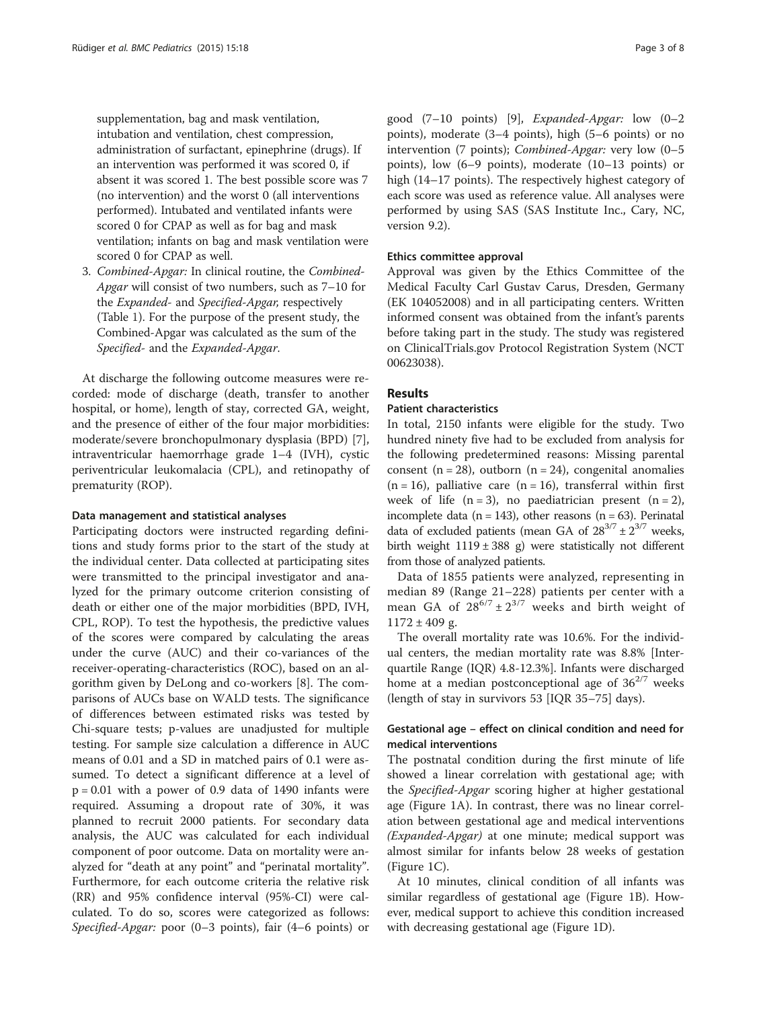supplementation, bag and mask ventilation, intubation and ventilation, chest compression, administration of surfactant, epinephrine (drugs). If an intervention was performed it was scored 0, if absent it was scored 1. The best possible score was 7 (no intervention) and the worst 0 (all interventions performed). Intubated and ventilated infants were scored 0 for CPAP as well as for bag and mask ventilation; infants on bag and mask ventilation were scored 0 for CPAP as well.

3. Combined-Apgar: In clinical routine, the Combined-Apgar will consist of two numbers, such as 7–10 for the Expanded- and Specified-Apgar, respectively (Table [1\)](#page-1-0). For the purpose of the present study, the Combined-Apgar was calculated as the sum of the Specified- and the Expanded-Apgar.

At discharge the following outcome measures were recorded: mode of discharge (death, transfer to another hospital, or home), length of stay, corrected GA, weight, and the presence of either of the four major morbidities: moderate/severe bronchopulmonary dysplasia (BPD) [\[7](#page-7-0)], intraventricular haemorrhage grade 1–4 (IVH), cystic periventricular leukomalacia (CPL), and retinopathy of prematurity (ROP).

#### Data management and statistical analyses

Participating doctors were instructed regarding definitions and study forms prior to the start of the study at the individual center. Data collected at participating sites were transmitted to the principal investigator and analyzed for the primary outcome criterion consisting of death or either one of the major morbidities (BPD, IVH, CPL, ROP). To test the hypothesis, the predictive values of the scores were compared by calculating the areas under the curve (AUC) and their co-variances of the receiver-operating-characteristics (ROC), based on an algorithm given by DeLong and co-workers [\[8](#page-7-0)]. The comparisons of AUCs base on WALD tests. The significance of differences between estimated risks was tested by Chi-square tests; p-values are unadjusted for multiple testing. For sample size calculation a difference in AUC means of 0.01 and a SD in matched pairs of 0.1 were assumed. To detect a significant difference at a level of  $p = 0.01$  with a power of 0.9 data of 1490 infants were required. Assuming a dropout rate of 30%, it was planned to recruit 2000 patients. For secondary data analysis, the AUC was calculated for each individual component of poor outcome. Data on mortality were analyzed for "death at any point" and "perinatal mortality". Furthermore, for each outcome criteria the relative risk (RR) and 95% confidence interval (95%-CI) were calculated. To do so, scores were categorized as follows: Specified-Apgar: poor (0–3 points), fair (4–6 points) or

good  $(7-10 \text{ points})$  [\[9\]](#page-7-0), *Expanded-Apgar*: low  $(0-2)$ points), moderate (3–4 points), high (5–6 points) or no intervention (7 points); Combined-Apgar: very low (0–5 points), low (6–9 points), moderate (10–13 points) or high (14–17 points). The respectively highest category of each score was used as reference value. All analyses were performed by using SAS (SAS Institute Inc., Cary, NC, version 9.2).

### Ethics committee approval

Approval was given by the Ethics Committee of the Medical Faculty Carl Gustav Carus, Dresden, Germany (EK 104052008) and in all participating centers. Written informed consent was obtained from the infant's parents before taking part in the study. The study was registered on ClinicalTrials.gov Protocol Registration System (NCT 00623038).

# Results

# Patient characteristics

In total, 2150 infants were eligible for the study. Two hundred ninety five had to be excluded from analysis for the following predetermined reasons: Missing parental consent (n = 28), outborn (n = 24), congenital anomalies  $(n = 16)$ , palliative care  $(n = 16)$ , transferral within first week of life  $(n = 3)$ , no paediatrician present  $(n = 2)$ , incomplete data ( $n = 143$ ), other reasons ( $n = 63$ ). Perinatal data of excluded patients (mean GA of  $28^{3/7} \pm 2^{3/7}$  weeks, birth weight  $1119 \pm 388$  g) were statistically not different from those of analyzed patients.

Data of 1855 patients were analyzed, representing in median 89 (Range 21–228) patients per center with a mean GA of  $28^{6/7} \pm 2^{3/7}$  weeks and birth weight of  $1172 \pm 409$  g.

The overall mortality rate was 10.6%. For the individual centers, the median mortality rate was 8.8% [Interquartile Range (IQR) 4.8-12.3%]. Infants were discharged home at a median postconceptional age of  $36^{2/7}$  weeks (length of stay in survivors 53 [IQR 35–75] days).

# Gestational age – effect on clinical condition and need for medical interventions

The postnatal condition during the first minute of life showed a linear correlation with gestational age; with the Specified-Apgar scoring higher at higher gestational age (Figure [1](#page-3-0)A). In contrast, there was no linear correlation between gestational age and medical interventions (Expanded-Apgar) at one minute; medical support was almost similar for infants below 28 weeks of gestation (Figure [1C](#page-3-0)).

At 10 minutes, clinical condition of all infants was similar regardless of gestational age (Figure [1B](#page-3-0)). However, medical support to achieve this condition increased with decreasing gestational age (Figure [1](#page-3-0)D).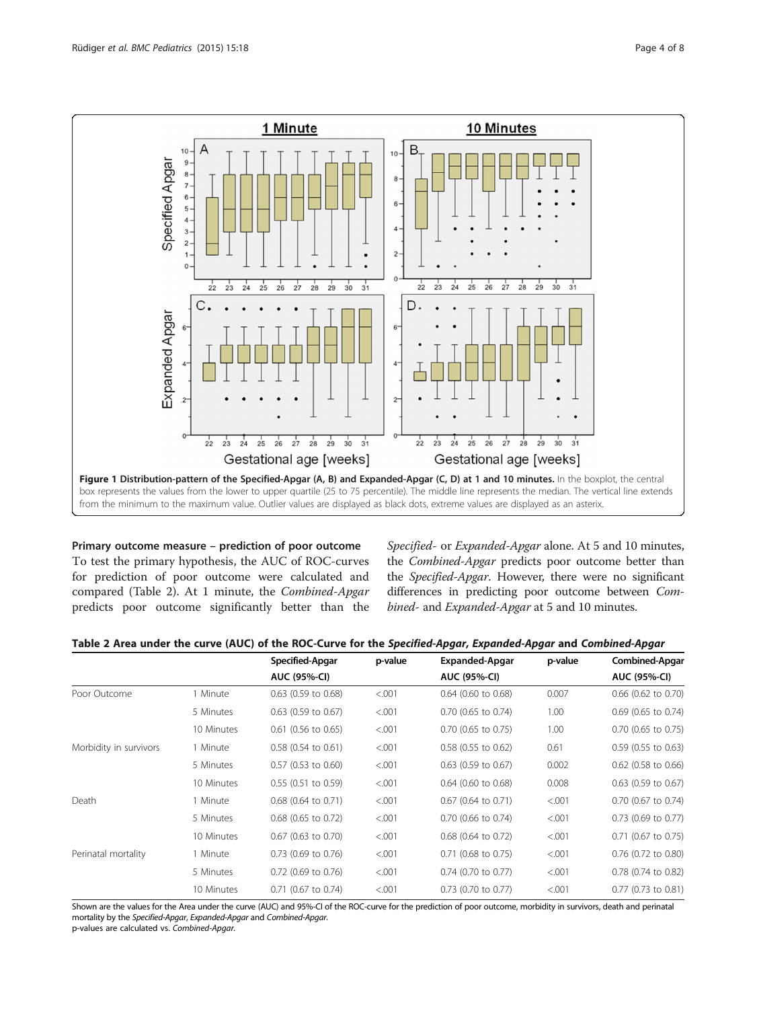<span id="page-3-0"></span>

Primary outcome measure – prediction of poor outcome To test the primary hypothesis, the AUC of ROC-curves for prediction of poor outcome were calculated and compared (Table 2). At 1 minute, the Combined-Apgar predicts poor outcome significantly better than the

Specified- or Expanded-Apgar alone. At 5 and 10 minutes, the Combined-Apgar predicts poor outcome better than the Specified-Apgar. However, there were no significant differences in predicting poor outcome between Combined- and Expanded-Apgar at 5 and 10 minutes.

|                        |            | Specified-Apgar       | p-value | Expanded-Apgar        | p-value | <b>Combined-Apgar</b> |
|------------------------|------------|-----------------------|---------|-----------------------|---------|-----------------------|
|                        |            | <b>AUC (95%-CI)</b>   |         | <b>AUC (95%-CI)</b>   |         | <b>AUC (95%-CI)</b>   |
| Poor Outcome           | 1 Minute   | $0.63$ (0.59 to 0.68) | < 0.001 | $0.64$ (0.60 to 0.68) | 0.007   | 0.66 (0.62 to 0.70)   |
|                        | 5 Minutes  | $0.63$ (0.59 to 0.67) | < 0.001 | $0.70$ (0.65 to 0.74) | 1.00    | $0.69$ (0.65 to 0.74) |
|                        | 10 Minutes | $0.61$ (0.56 to 0.65) | < .001  | $0.70$ (0.65 to 0.75) | 1.00    | $0.70$ (0.65 to 0.75) |
| Morbidity in survivors | 1 Minute   | $0.58$ (0.54 to 0.61) | < .001  | $0.58$ (0.55 to 0.62) | 0.61    | $0.59$ (0.55 to 0.63) |
|                        | 5 Minutes  | $0.57$ (0.53 to 0.60) | < .001  | $0.63$ (0.59 to 0.67) | 0.002   | $0.62$ (0.58 to 0.66) |
|                        | 10 Minutes | $0.55$ (0.51 to 0.59) | < 0.001 | $0.64$ (0.60 to 0.68) | 0.008   | $0.63$ (0.59 to 0.67) |
| Death                  | 1 Minute   | 0.68 (0.64 to 0.71)   | < .001  | $0.67$ (0.64 to 0.71) | < .001  | 0.70 (0.67 to 0.74)   |
|                        | 5 Minutes  | 0.68 (0.65 to 0.72)   | < .001  | $0.70$ (0.66 to 0.74) | < .001  | 0.73 (0.69 to 0.77)   |
|                        | 10 Minutes | $0.67$ (0.63 to 0.70) | < 0.001 | $0.68$ (0.64 to 0.72) | < 0.001 | 0.71 (0.67 to 0.75)   |
| Perinatal mortality    | 1 Minute   | $0.73$ (0.69 to 0.76) | < .001  | $0.71$ (0.68 to 0.75) | < .001  | 0.76 (0.72 to 0.80)   |
|                        | 5 Minutes  | 0.72 (0.69 to 0.76)   | < .001  | 0.74 (0.70 to 0.77)   | < .001  | 0.78 (0.74 to 0.82)   |
|                        | 10 Minutes | $0.71$ (0.67 to 0.74) | < .001  | $0.73$ (0.70 to 0.77) | < 0.001 | 0.77 (0.73 to 0.81)   |

Shown are the values for the Area under the curve (AUC) and 95%-CI of the ROC-curve for the prediction of poor outcome, morbidity in survivors, death and perinatal mortality by the Specified-Apgar, Expanded-Apgar and Combined-Apgar.

p-values are calculated vs. Combined-Apgar.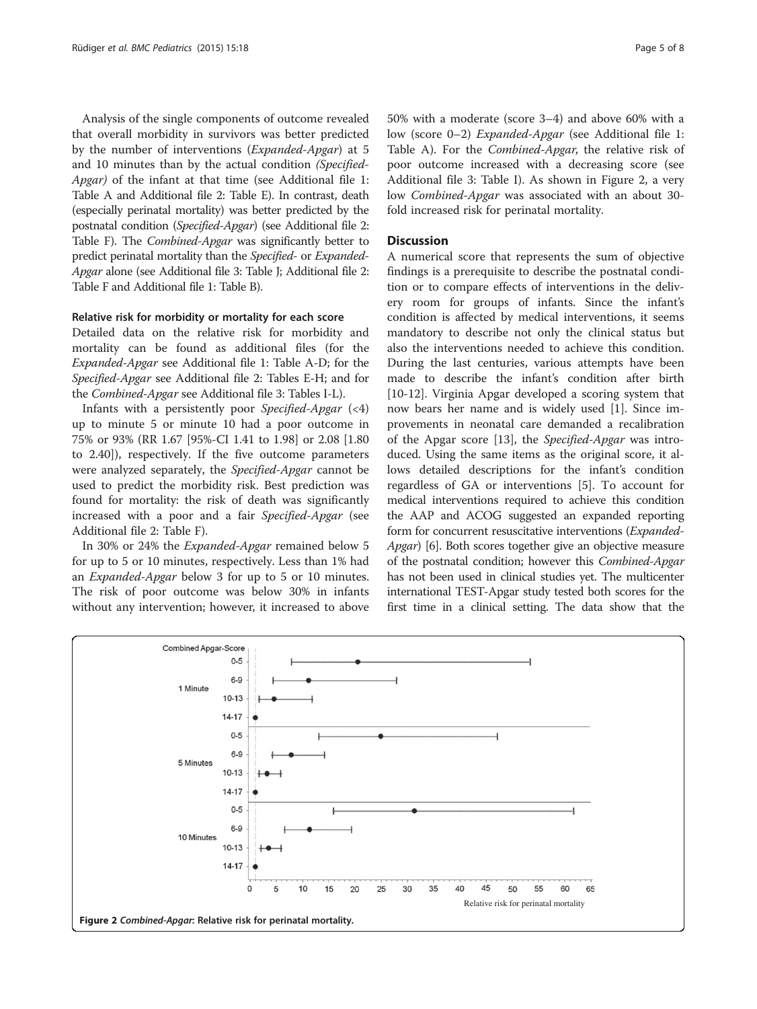Analysis of the single components of outcome revealed that overall morbidity in survivors was better predicted by the number of interventions (Expanded-Apgar) at 5 and 10 minutes than by the actual condition (Specified-Apgar) of the infant at that time (see Additional file [1](#page-6-0): Table A and Additional file [2](#page-6-0): Table E). In contrast, death (especially perinatal mortality) was better predicted by the postnatal condition (Specified-Apgar) (see Additional file [2](#page-6-0): Table F). The *Combined-Apgar* was significantly better to predict perinatal mortality than the Specified- or Expanded-Apgar alone (see Additional file [3](#page-6-0): Table J; Additional file [2](#page-6-0): Table F and Additional file [1:](#page-6-0) Table B).

## Relative risk for morbidity or mortality for each score

Detailed data on the relative risk for morbidity and mortality can be found as additional files (for the Expanded-Apgar see Additional file [1](#page-6-0): Table A-D; for the Specified-Apgar see Additional file [2](#page-6-0): Tables E-H; and for the Combined-Apgar see Additional file [3](#page-6-0): Tables I-L).

Infants with a persistently poor Specified-Apgar  $(\leq 4)$ up to minute 5 or minute 10 had a poor outcome in 75% or 93% (RR 1.67 [95%-CI 1.41 to 1.98] or 2.08 [1.80 to 2.40]), respectively. If the five outcome parameters were analyzed separately, the Specified-Apgar cannot be used to predict the morbidity risk. Best prediction was found for mortality: the risk of death was significantly increased with a poor and a fair Specified-Apgar (see Additional file [2:](#page-6-0) Table F).

In 30% or 24% the Expanded-Apgar remained below 5 for up to 5 or 10 minutes, respectively. Less than 1% had an Expanded-Apgar below 3 for up to 5 or 10 minutes. The risk of poor outcome was below 30% in infants without any intervention; however, it increased to above 50% with a moderate (score 3–4) and above 60% with a low (score 0–2) Expanded-Apgar (see Additional file [1](#page-6-0): Table A). For the Combined-Apgar, the relative risk of poor outcome increased with a decreasing score (see Additional file [3:](#page-6-0) Table I). As shown in Figure 2, a very low Combined-Apgar was associated with an about 30 fold increased risk for perinatal mortality.

#### **Discussion**

A numerical score that represents the sum of objective findings is a prerequisite to describe the postnatal condition or to compare effects of interventions in the delivery room for groups of infants. Since the infant's condition is affected by medical interventions, it seems mandatory to describe not only the clinical status but also the interventions needed to achieve this condition. During the last centuries, various attempts have been made to describe the infant's condition after birth [[10-12](#page-7-0)]. Virginia Apgar developed a scoring system that now bears her name and is widely used [\[1](#page-6-0)]. Since improvements in neonatal care demanded a recalibration of the Apgar score [[13](#page-7-0)], the Specified-Apgar was introduced. Using the same items as the original score, it allows detailed descriptions for the infant's condition regardless of GA or interventions [\[5\]](#page-7-0). To account for medical interventions required to achieve this condition the AAP and ACOG suggested an expanded reporting form for concurrent resuscitative interventions (Expanded-Apgar) [[6\]](#page-7-0). Both scores together give an objective measure of the postnatal condition; however this Combined-Apgar has not been used in clinical studies yet. The multicenter international TEST-Apgar study tested both scores for the first time in a clinical setting. The data show that the

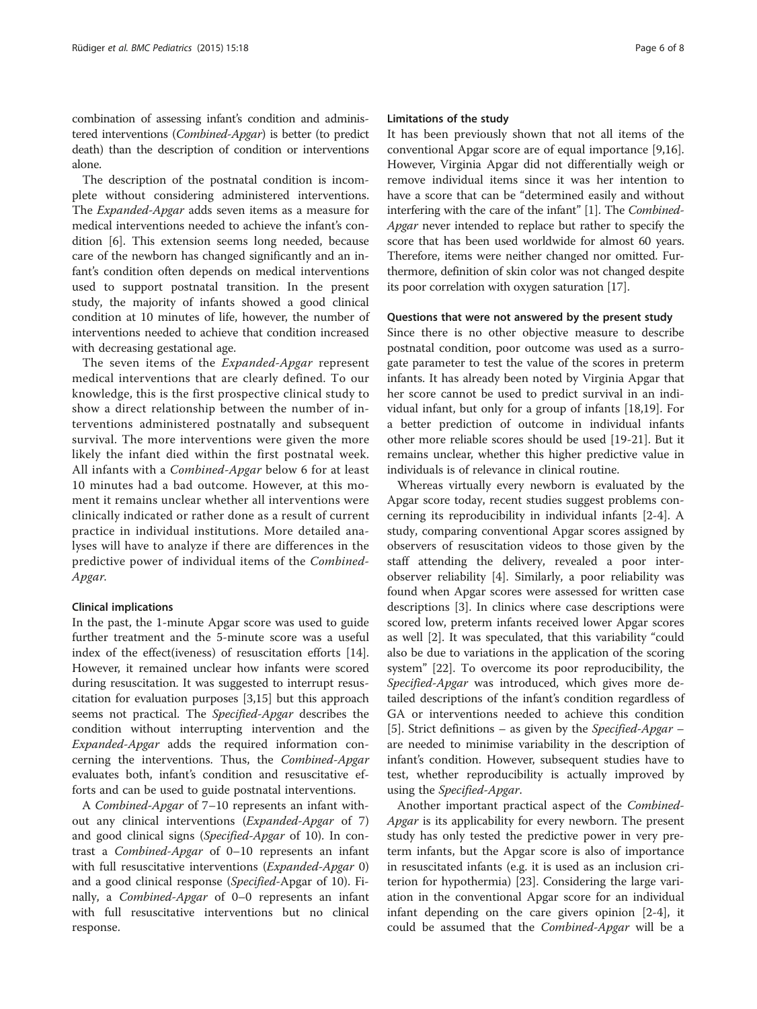combination of assessing infant's condition and administered interventions (Combined-Apgar) is better (to predict death) than the description of condition or interventions alone.

The description of the postnatal condition is incomplete without considering administered interventions. The Expanded-Apgar adds seven items as a measure for medical interventions needed to achieve the infant's condition [[6\]](#page-7-0). This extension seems long needed, because care of the newborn has changed significantly and an infant's condition often depends on medical interventions used to support postnatal transition. In the present study, the majority of infants showed a good clinical condition at 10 minutes of life, however, the number of interventions needed to achieve that condition increased with decreasing gestational age.

The seven items of the Expanded-Apgar represent medical interventions that are clearly defined. To our knowledge, this is the first prospective clinical study to show a direct relationship between the number of interventions administered postnatally and subsequent survival. The more interventions were given the more likely the infant died within the first postnatal week. All infants with a Combined-Apgar below 6 for at least 10 minutes had a bad outcome. However, at this moment it remains unclear whether all interventions were clinically indicated or rather done as a result of current practice in individual institutions. More detailed analyses will have to analyze if there are differences in the predictive power of individual items of the Combined-Apgar.

#### Clinical implications

In the past, the 1-minute Apgar score was used to guide further treatment and the 5-minute score was a useful index of the effect(iveness) of resuscitation efforts [\[14](#page-7-0)]. However, it remained unclear how infants were scored during resuscitation. It was suggested to interrupt resuscitation for evaluation purposes [\[3](#page-6-0)[,15](#page-7-0)] but this approach seems not practical. The Specified-Apgar describes the condition without interrupting intervention and the Expanded-Apgar adds the required information concerning the interventions. Thus, the Combined-Apgar evaluates both, infant's condition and resuscitative efforts and can be used to guide postnatal interventions.

A Combined-Apgar of 7–10 represents an infant without any clinical interventions (Expanded-Apgar of 7) and good clinical signs (Specified-Apgar of 10). In contrast a Combined-Apgar of 0–10 represents an infant with full resuscitative interventions (*Expanded-Apgar* 0) and a good clinical response (Specified-Apgar of 10). Finally, a *Combined-Apgar* of 0–0 represents an infant with full resuscitative interventions but no clinical response.

#### Limitations of the study

It has been previously shown that not all items of the conventional Apgar score are of equal importance [\[9,16](#page-7-0)]. However, Virginia Apgar did not differentially weigh or remove individual items since it was her intention to have a score that can be "determined easily and without interfering with the care of the infant" [\[1\]](#page-6-0). The Combined-Apgar never intended to replace but rather to specify the score that has been used worldwide for almost 60 years. Therefore, items were neither changed nor omitted. Furthermore, definition of skin color was not changed despite its poor correlation with oxygen saturation [[17](#page-7-0)].

#### Questions that were not answered by the present study

Since there is no other objective measure to describe postnatal condition, poor outcome was used as a surrogate parameter to test the value of the scores in preterm infants. It has already been noted by Virginia Apgar that her score cannot be used to predict survival in an individual infant, but only for a group of infants [\[18,19](#page-7-0)]. For a better prediction of outcome in individual infants other more reliable scores should be used [[19-21\]](#page-7-0). But it remains unclear, whether this higher predictive value in individuals is of relevance in clinical routine.

Whereas virtually every newborn is evaluated by the Apgar score today, recent studies suggest problems concerning its reproducibility in individual infants [[2-4](#page-6-0)]. A study, comparing conventional Apgar scores assigned by observers of resuscitation videos to those given by the staff attending the delivery, revealed a poor interobserver reliability [\[4](#page-6-0)]. Similarly, a poor reliability was found when Apgar scores were assessed for written case descriptions [[3\]](#page-6-0). In clinics where case descriptions were scored low, preterm infants received lower Apgar scores as well [[2\]](#page-6-0). It was speculated, that this variability "could also be due to variations in the application of the scoring system" [\[22](#page-7-0)]. To overcome its poor reproducibility, the Specified-Apgar was introduced, which gives more detailed descriptions of the infant's condition regardless of GA or interventions needed to achieve this condition [[5\]](#page-7-0). Strict definitions – as given by the *Specified-Apgar* – are needed to minimise variability in the description of infant's condition. However, subsequent studies have to test, whether reproducibility is actually improved by using the Specified-Apgar.

Another important practical aspect of the Combined-Apgar is its applicability for every newborn. The present study has only tested the predictive power in very preterm infants, but the Apgar score is also of importance in resuscitated infants (e.g. it is used as an inclusion criterion for hypothermia) [[23\]](#page-7-0). Considering the large variation in the conventional Apgar score for an individual infant depending on the care givers opinion [[2-4\]](#page-6-0), it could be assumed that the Combined-Apgar will be a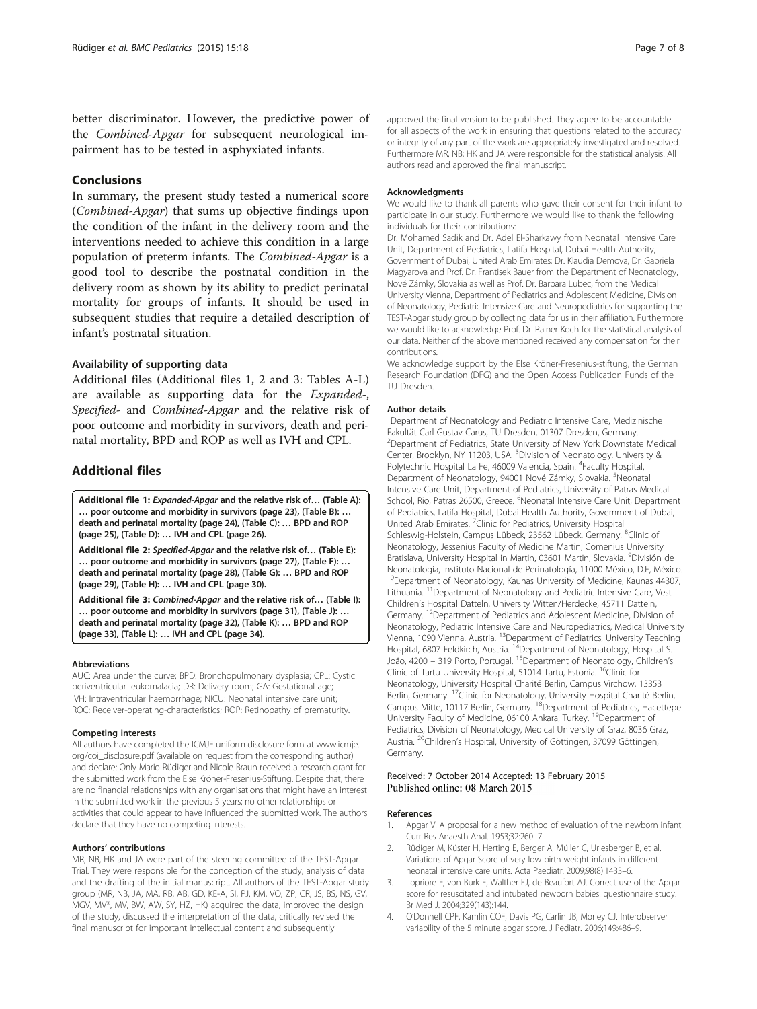<span id="page-6-0"></span>better discriminator. However, the predictive power of the Combined-Apgar for subsequent neurological impairment has to be tested in asphyxiated infants.

# Conclusions

In summary, the present study tested a numerical score (Combined-Apgar) that sums up objective findings upon the condition of the infant in the delivery room and the interventions needed to achieve this condition in a large population of preterm infants. The Combined-Apgar is a good tool to describe the postnatal condition in the delivery room as shown by its ability to predict perinatal mortality for groups of infants. It should be used in subsequent studies that require a detailed description of infant's postnatal situation.

### Availability of supporting data

Additional files (Additional files 1, 2 and 3: Tables A-L) are available as supporting data for the Expanded-, Specified- and Combined-Apgar and the relative risk of poor outcome and morbidity in survivors, death and perinatal mortality, BPD and ROP as well as IVH and CPL.

# Additional files

[Additional file 1:](http://www.biomedcentral.com/content/supplementary/s12887-015-0334-7-s1.pdf) Expanded-Apgar and the relative risk of… (Table A): … poor outcome and morbidity in survivors (page 23), (Table B): … death and perinatal mortality (page 24), (Table C): … BPD and ROP (page 25), (Table D): … IVH and CPL (page 26).

[Additional file 2:](http://www.biomedcentral.com/content/supplementary/s12887-015-0334-7-s2.pdf) Specified-Apgar and the relative risk of… (Table E): … poor outcome and morbidity in survivors (page 27), (Table F): … death and perinatal mortality (page 28), (Table G): … BPD and ROP (page 29), (Table H): … IVH and CPL (page 30).

[Additional file 3:](http://www.biomedcentral.com/content/supplementary/s12887-015-0334-7-s3.pdf) Combined-Apgar and the relative risk of… (Table I): … poor outcome and morbidity in survivors (page 31), (Table J): … death and perinatal mortality (page 32), (Table K): … BPD and ROP (page 33), (Table L): … IVH and CPL (page 34).

#### Abbreviations

AUC: Area under the curve; BPD: Bronchopulmonary dysplasia; CPL: Cystic periventricular leukomalacia; DR: Delivery room; GA: Gestational age; IVH: Intraventricular haemorrhage; NICU: Neonatal intensive care unit; ROC: Receiver-operating-characteristics; ROP: Retinopathy of prematurity.

#### Competing interests

All authors have completed the ICMJE uniform disclosure form at [www.icmje.](http://www.icmje.org/coi_disclosure.pdf) [org/coi\\_disclosure.pdf](http://www.icmje.org/coi_disclosure.pdf) (available on request from the corresponding author) and declare: Only Mario Rüdiger and Nicole Braun received a research grant for the submitted work from the Else Kröner-Fresenius-Stiftung. Despite that, there are no financial relationships with any organisations that might have an interest in the submitted work in the previous 5 years; no other relationships or activities that could appear to have influenced the submitted work. The authors declare that they have no competing interests.

#### Authors' contributions

MR, NB, HK and JA were part of the steering committee of the TEST-Apgar Trial. They were responsible for the conception of the study, analysis of data and the drafting of the initial manuscript. All authors of the TEST-Apgar study group (MR, NB, JA, MA, RB, AB, GD, KE-A, SI, PJ, KM, VO, ZP, CR, JS, BS, NS, GV, MGV, MV\*, MV, BW, AW, SY, HZ, HK) acquired the data, improved the design of the study, discussed the interpretation of the data, critically revised the final manuscript for important intellectual content and subsequently

approved the final version to be published. They agree to be accountable for all aspects of the work in ensuring that questions related to the accuracy or integrity of any part of the work are appropriately investigated and resolved. Furthermore MR, NB; HK and JA were responsible for the statistical analysis. All authors read and approved the final manuscript.

#### Acknowledgments

We would like to thank all parents who gave their consent for their infant to participate in our study. Furthermore we would like to thank the following individuals for their contributions:

Dr. Mohamed Sadik and Dr. Adel El-Sharkawy from Neonatal Intensive Care Unit, Department of Pediatrics, Latifa Hospital, Dubai Health Authority, Government of Dubai, United Arab Emirates; Dr. Klaudia Demova, Dr. Gabriela Magyarova and Prof. Dr. Frantisek Bauer from the Department of Neonatology, Nové Zámky, Slovakia as well as Prof. Dr. Barbara Lubec, from the Medical University Vienna, Department of Pediatrics and Adolescent Medicine, Division of Neonatology, Pediatric Intensive Care and Neuropediatrics for supporting the TEST-Apgar study group by collecting data for us in their affiliation. Furthermore we would like to acknowledge Prof. Dr. Rainer Koch for the statistical analysis of our data. Neither of the above mentioned received any compensation for their contributions.

We acknowledge support by the Else Kröner-Fresenius-stiftung, the German Research Foundation (DFG) and the Open Access Publication Funds of the TU Dresden.

#### Author details

<sup>1</sup>Department of Neonatology and Pediatric Intensive Care, Medizinische Fakultät Carl Gustav Carus, TU Dresden, 01307 Dresden, Germany. <sup>2</sup> Department of Pediatrics, State University of New York Downstate Medical Center, Brooklyn, NY 11203, USA. <sup>3</sup>Division of Neonatology, University & Polytechnic Hospital La Fe, 46009 Valencia, Spain. <sup>4</sup>Faculty Hospital, Department of Neonatology, 94001 Nové Zámky, Slovakia. <sup>5</sup>Neonatal Intensive Care Unit, Department of Pediatrics, University of Patras Medical School, Rio, Patras 26500, Greece. <sup>6</sup>Neonatal Intensive Care Unit, Department of Pediatrics, Latifa Hospital, Dubai Health Authority, Government of Dubai, United Arab Emirates. <sup>7</sup> Clinic for Pediatrics, University Hospital Schleswig-Holstein, Campus Lübeck, 23562 Lübeck, Germany. <sup>8</sup>Clinic of Neonatology, Jessenius Faculty of Medicine Martin, Comenius University Bratislava, University Hospital in Martin, 03601 Martin, Slovakia. <sup>9</sup>División de Neonatología, Instituto Nacional de Perinatología, 11000 México, D.F, México. <sup>10</sup>Department of Neonatology, Kaunas University of Medicine, Kaunas 44307, Lithuania. 11Department of Neonatology and Pediatric Intensive Care, Vest Children's Hospital Datteln, University Witten/Herdecke, 45711 Datteln, Germany. <sup>12</sup>Department of Pediatrics and Adolescent Medicine, Division of Neonatology, Pediatric Intensive Care and Neuropediatrics, Medical University Vienna, 1090 Vienna, Austria. 13Department of Pediatrics, University Teaching Hospital, 6807 Feldkirch, Austria.<sup>14</sup>Department of Neonatology, Hospital S. João, 4200 – 319 Porto, Portugal. 15Department of Neonatology, Children's Clinic of Tartu University Hospital, 51014 Tartu, Estonia. <sup>16</sup>Clinic for Neonatology, University Hospital Charité Berlin, Campus Virchow, 13353 Berlin, Germany. <sup>17</sup>Clinic for Neonatology, University Hospital Charité Berlin, Campus Mitte, 10117 Berlin, Germany. <sup>18</sup>Department of Pediatrics, Hacettepe University Faculty of Medicine, 06100 Ankara, Turkey. <sup>19</sup>Department of Pediatrics, Division of Neonatology, Medical University of Graz, 8036 Graz, Austria. <sup>20</sup>Children's Hospital, University of Göttingen, 37099 Göttingen, Germany.

#### Received: 7 October 2014 Accepted: 13 February 2015 Published online: 08 March 2015

#### References

- 1. Apgar V. A proposal for a new method of evaluation of the newborn infant. Curr Res Anaesth Anal. 1953;32:260–7.
- 2. Rüdiger M, Küster H, Herting E, Berger A, Müller C, Urlesberger B, et al. Variations of Apgar Score of very low birth weight infants in different neonatal intensive care units. Acta Paediatr. 2009;98(8):1433–6.
- 3. Lopriore E, von Burk F, Walther FJ, de Beaufort AJ. Correct use of the Apgar score for resuscitated and intubated newborn babies: questionnaire study. Br Med J. 2004;329(143):144.
- 4. O'Donnell CPF, Kamlin COF, Davis PG, Carlin JB, Morley CJ. Interobserver variability of the 5 minute apgar score. J Pediatr. 2006;149:486–9.